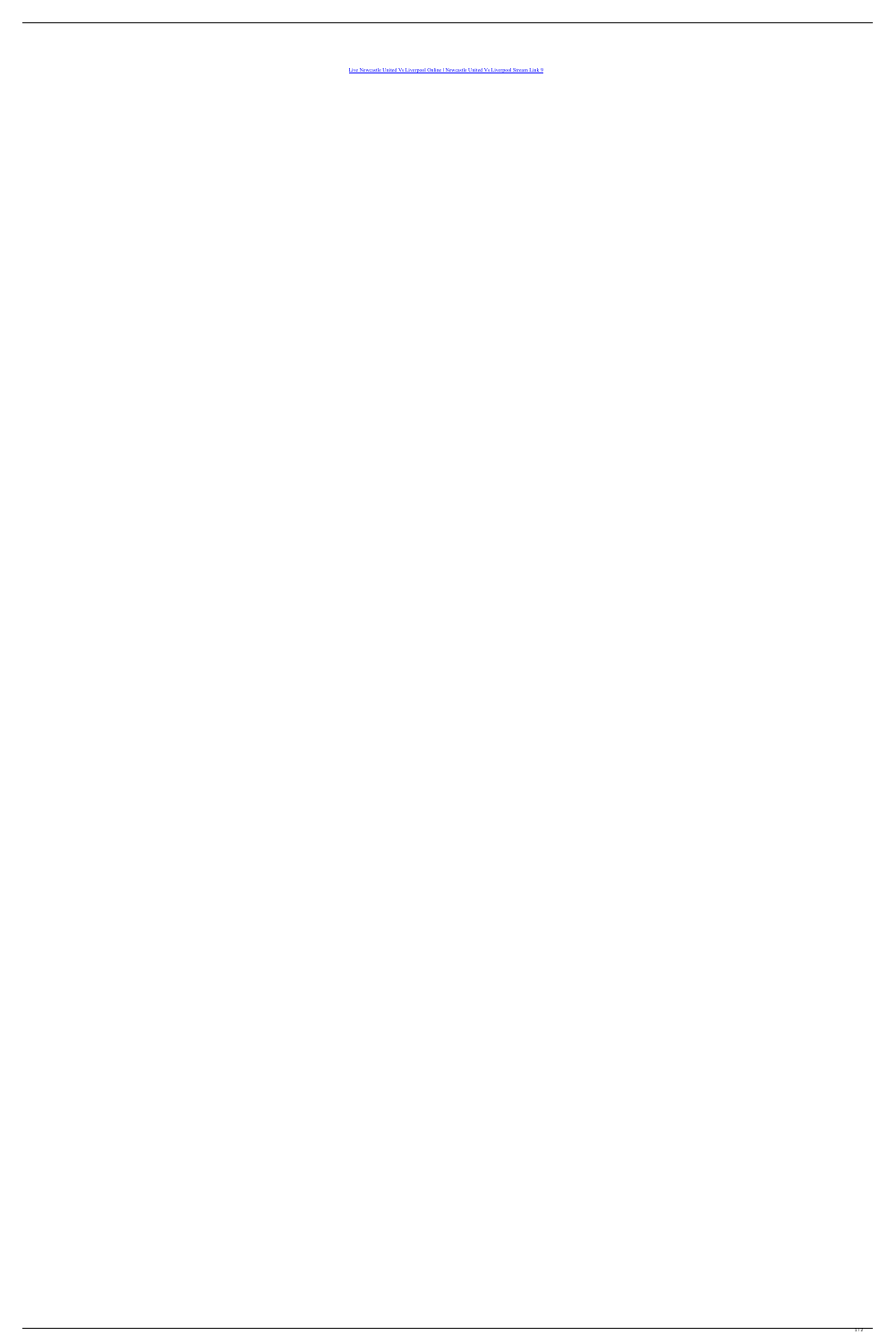[Live Newcastle United Vs Liverpool Online | Newcastle United Vs Liverpool Stream Link 9](https://tinurli.com/25n1v9)